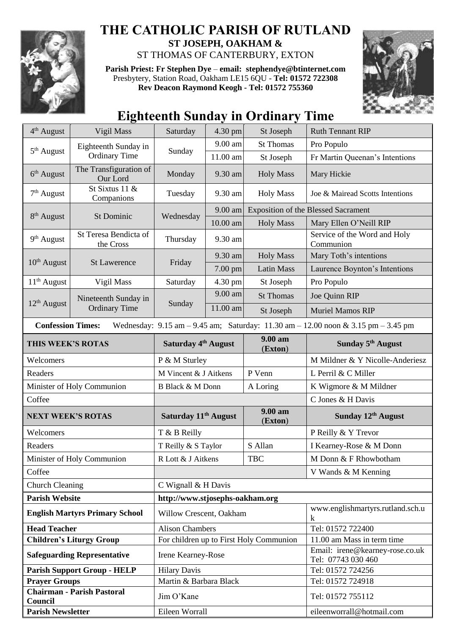

## **THE CATHOLIC PARISH OF RUTLAND ST JOSEPH, OAKHAM &**

ST THOMAS OF CANTERBURY, EXTON

**Parish Priest: Fr Stephen Dye** – **[email: stephendye@btinternet.com](mailto:email:%20%20stephendye@btinternet.com)** Presbytery, Station Road, Oakham LE15 6QU - **Tel: 01572 722308 Rev Deacon Raymond Keogh - Tel: 01572 755360**



# **Eighteenth Sunday in Ordinary Time**

| 4 <sup>th</sup> August              | Vigil Mass                                   | Saturday                         | 4.30 pm  | St Joseph                               | <b>Ruth Tennant RIP</b>                                                                                                                 |
|-------------------------------------|----------------------------------------------|----------------------------------|----------|-----------------------------------------|-----------------------------------------------------------------------------------------------------------------------------------------|
| $5th$ August                        | Eighteenth Sunday in<br><b>Ordinary Time</b> | Sunday                           | 9.00 am  | <b>St Thomas</b>                        | Pro Populo                                                                                                                              |
|                                     |                                              |                                  | 11.00 am | St Joseph                               | Fr Martin Queenan's Intentions                                                                                                          |
| 6 <sup>th</sup> August              | The Transfiguration of<br>Our Lord           | Monday                           | 9.30 am  | <b>Holy Mass</b>                        | Mary Hickie                                                                                                                             |
| $7th$ August                        | St Sixtus 11 &<br>Companions                 | Tuesday                          | 9.30 am  | <b>Holy Mass</b>                        | Joe & Mairead Scotts Intentions                                                                                                         |
| 8 <sup>th</sup> August              | St Dominic                                   | Wednesday                        | 9.00 am  |                                         | <b>Exposition of the Blessed Sacrament</b>                                                                                              |
|                                     |                                              |                                  | 10.00 am | <b>Holy Mass</b>                        | Mary Ellen O'Neill RIP                                                                                                                  |
| 9 <sup>th</sup> August              | St Teresa Bendicta of<br>the Cross           | Thursday                         | 9.30 am  |                                         | Service of the Word and Holy<br>Communion                                                                                               |
| $10th$ August                       | <b>St Lawerence</b>                          | Friday                           | 9.30 am  | <b>Holy Mass</b>                        | Mary Toth's intentions                                                                                                                  |
|                                     |                                              |                                  | 7.00 pm  | <b>Latin Mass</b>                       | Laurence Boynton's Intentions                                                                                                           |
| $11th$ August                       | Vigil Mass                                   | Saturday                         | 4.30 pm  | St Joseph                               | Pro Populo                                                                                                                              |
|                                     | Nineteenth Sunday in<br><b>Ordinary Time</b> | Sunday                           | 9.00 am  | <b>St Thomas</b>                        | Joe Quinn RIP                                                                                                                           |
| $12th$ August                       |                                              |                                  | 11.00 am | St Joseph                               | <b>Muriel Mamos RIP</b>                                                                                                                 |
| <b>Confession Times:</b>            |                                              |                                  |          |                                         | Wednesday: $9.15 \text{ am} - 9.45 \text{ am}$ ; Saturday: $11.30 \text{ am} - 12.00 \text{ noon} \& 3.15 \text{ pm} - 3.45 \text{ pm}$ |
| THIS WEEK'S ROTAS                   |                                              | Saturday 4 <sup>th</sup> August  |          | $9.00 a$ m<br>(Exton)                   | Sunday 5 <sup>th</sup> August                                                                                                           |
| Welcomers                           |                                              | P & M Sturley                    |          |                                         | M Mildner & Y Nicolle-Anderiesz                                                                                                         |
| Readers                             |                                              | M Vincent & J Aitkens            |          | P Venn                                  | L Perril & C Miller                                                                                                                     |
| Minister of Holy Communion          |                                              | B Black & M Donn                 |          | A Loring                                | K Wigmore & M Mildner                                                                                                                   |
| Coffee                              |                                              |                                  |          |                                         | C Jones & H Davis                                                                                                                       |
| <b>NEXT WEEK'S ROTAS</b>            |                                              | Saturday 11 <sup>th</sup> August |          | 9.00 am<br>(Exton)                      | Sunday 12 <sup>th</sup> August                                                                                                          |
| Welcomers                           |                                              | T & B Reilly                     |          |                                         | P Reilly & Y Trevor                                                                                                                     |
| Readers                             |                                              | T Reilly & S Taylor              |          | S Allan                                 | I Kearney-Rose & M Donn                                                                                                                 |
| Minister of Holy Communion          |                                              | R Lott & J Aitkens<br><b>TBC</b> |          |                                         |                                                                                                                                         |
| Coffee                              |                                              |                                  |          |                                         | M Donn & F Rhowbotham                                                                                                                   |
| <b>Church Cleaning</b>              |                                              |                                  |          |                                         | V Wands & M Kenning                                                                                                                     |
|                                     |                                              | C Wignall & H Davis              |          |                                         |                                                                                                                                         |
| <b>Parish Website</b>               |                                              | http://www.stjosephs-oakham.org  |          |                                         |                                                                                                                                         |
|                                     | <b>English Martyrs Primary School</b>        | Willow Crescent, Oakham          |          |                                         | www.englishmartyrs.rutland.sch.u<br>k                                                                                                   |
| <b>Head Teacher</b>                 |                                              | <b>Alison Chambers</b>           |          |                                         | Tel: 01572 722400                                                                                                                       |
|                                     | <b>Children's Liturgy Group</b>              |                                  |          | For children up to First Holy Communion | 11.00 am Mass in term time                                                                                                              |
|                                     | <b>Safeguarding Representative</b>           | Irene Kearney-Rose               |          |                                         | Email: irene@kearney-rose.co.uk<br>Tel: 07743 030 460                                                                                   |
|                                     | <b>Parish Support Group - HELP</b>           | <b>Hilary Davis</b>              |          |                                         | Tel: 01572 724256                                                                                                                       |
| <b>Prayer Groups</b>                |                                              | Martin & Barbara Black           |          |                                         | Tel: 01572 724918                                                                                                                       |
| Council<br><b>Parish Newsletter</b> | <b>Chairman - Parish Pastoral</b>            | Jim O'Kane<br>Eileen Worrall     |          |                                         | Tel: 01572 755112<br>eileenworrall@hotmail.com                                                                                          |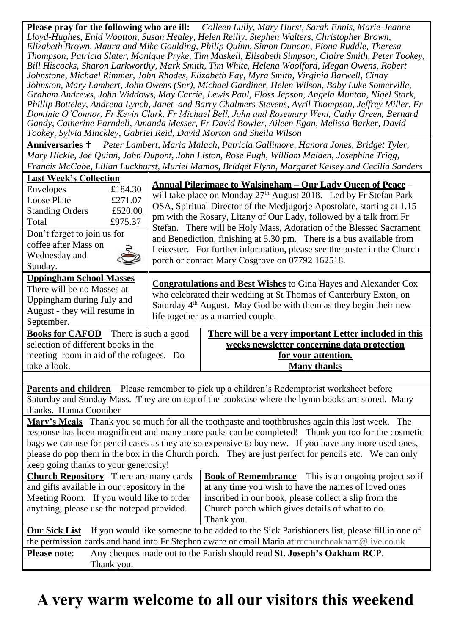**Please pray for the following who are ill:** *Colleen Lully, Mary Hurst, Sarah Ennis, Marie-Jeanne Lloyd-Hughes, Enid Wootton, Susan Healey, Helen Reilly, Stephen Walters, Christopher Brown, Elizabeth Brown, Maura and Mike Goulding, Philip Quinn, Simon Duncan, Fiona Ruddle, Theresa Thompson, Patricia Slater, Monique Pryke, Tim Maskell, Elisabeth Simpson, Claire Smith, Peter Tookey, Bill Hiscocks, Sharon Larkworthy, Mark Smith, Tim White, Helena Woolford, Megan Owens, Robert Johnstone, Michael Rimmer, John Rhodes, Elizabeth Fay, Myra Smith, Virginia Barwell, Cindy Johnston, Mary Lambert, John Owens (Snr), Michael Gardiner, Helen Wilson, Baby Luke Somerville, Graham Andrews, John Widdows, May Carrie, Lewis Paul, Floss Jepson, Angela Munton, Nigel Stark, Phillip Botteley, Andrena Lynch, Janet and Barry Chalmers-Stevens, Avril Thompson, Jeffrey Miller, Fr Dominic O'Connor, Fr Kevin Clark, Fr Michael Bell, John and Rosemary Went, Cathy Green, Bernard Gandy, Catherine Farndell, Amanda Messer, Fr David Bowler, Aileen Egan, Melissa Barker, David Tookey, Sylvia Minckley, Gabriel Reid, David Morton and Sheila Wilson*

**Anniversaries**  *Peter Lambert, Maria Malach, Patricia Gallimore, Hanora Jones, Bridget Tyler, Mary Hickie, Joe Quinn, John Dupont, John Liston, Rose Pugh, William Maiden, Josephine Trigg, Francis McCabe, Lilian Luckhurst, Muriel Mamos, Bridget Flynn, Margaret Kelsey and Cecilia Sanders*

| <b>Last Week's Collection</b><br>£184.30<br>Envelopes<br><b>Loose Plate</b><br>£271.07<br><b>Standing Orders</b><br>£520.00<br>£975.37<br>Total<br>Don't forget to join us for<br>coffee after Mass on<br>Wednesday and<br>Sunday.                                                                                                                                                                                                                                |                                                                                                                                                                                                                                                                    | Annual Pilgrimage to Walsingham – Our Lady Queen of Peace –<br>will take place on Monday $27th$ August 2018. Led by Fr Stefan Park<br>OSA, Spiritual Director of the Medjugorje Apostolate, starting at 1.15<br>pm with the Rosary, Litany of Our Lady, followed by a talk from Fr<br>Stefan. There will be Holy Mass, Adoration of the Blessed Sacrament<br>and Benediction, finishing at 5.30 pm. There is a bus available from<br>Leicester. For further information, please see the poster in the Church<br>porch or contact Mary Cosgrove on 07792 162518. |  |  |  |
|-------------------------------------------------------------------------------------------------------------------------------------------------------------------------------------------------------------------------------------------------------------------------------------------------------------------------------------------------------------------------------------------------------------------------------------------------------------------|--------------------------------------------------------------------------------------------------------------------------------------------------------------------------------------------------------------------------------------------------------------------|-----------------------------------------------------------------------------------------------------------------------------------------------------------------------------------------------------------------------------------------------------------------------------------------------------------------------------------------------------------------------------------------------------------------------------------------------------------------------------------------------------------------------------------------------------------------|--|--|--|
| <b>Uppingham School Masses</b><br>There will be no Masses at<br>Uppingham during July and<br>August - they will resume in<br>September.                                                                                                                                                                                                                                                                                                                           | <b>Congratulations and Best Wishes</b> to Gina Hayes and Alexander Cox<br>who celebrated their wedding at St Thomas of Canterbury Exton, on<br>Saturday 4 <sup>th</sup> August. May God be with them as they begin their new<br>life together as a married couple. |                                                                                                                                                                                                                                                                                                                                                                                                                                                                                                                                                                 |  |  |  |
| <b>Books for CAFOD</b> There is such a good<br>selection of different books in the<br>meeting room in aid of the refugees. Do<br>take a look.                                                                                                                                                                                                                                                                                                                     |                                                                                                                                                                                                                                                                    | There will be a very important Letter included in this<br>weeks newsletter concerning data protection<br>for your attention.<br><b>Many thanks</b>                                                                                                                                                                                                                                                                                                                                                                                                              |  |  |  |
|                                                                                                                                                                                                                                                                                                                                                                                                                                                                   |                                                                                                                                                                                                                                                                    |                                                                                                                                                                                                                                                                                                                                                                                                                                                                                                                                                                 |  |  |  |
| Parents and children Please remember to pick up a children's Redemptorist worksheet before<br>Saturday and Sunday Mass. They are on top of the bookcase where the hymn books are stored. Many<br>thanks. Hanna Coomber                                                                                                                                                                                                                                            |                                                                                                                                                                                                                                                                    |                                                                                                                                                                                                                                                                                                                                                                                                                                                                                                                                                                 |  |  |  |
| Mary's Meals Thank you so much for all the toothpaste and toothbrushes again this last week. The<br>response has been magnificent and many more packs can be completed! Thank you too for the cosmetic<br>bags we can use for pencil cases as they are so expensive to buy new. If you have any more used ones,<br>please do pop them in the box in the Church porch. They are just perfect for pencils etc. We can only<br>keep going thanks to your generosity! |                                                                                                                                                                                                                                                                    |                                                                                                                                                                                                                                                                                                                                                                                                                                                                                                                                                                 |  |  |  |
| <b>Church Repository</b> There are many cards<br>and gifts available in our repository in the<br>Meeting Room. If you would like to order                                                                                                                                                                                                                                                                                                                         |                                                                                                                                                                                                                                                                    | <b>Book of Remembrance</b> This is an ongoing project so if<br>at any time you wish to have the names of loved ones                                                                                                                                                                                                                                                                                                                                                                                                                                             |  |  |  |
| anything, please use the notepad provided.                                                                                                                                                                                                                                                                                                                                                                                                                        |                                                                                                                                                                                                                                                                    | inscribed in our book, please collect a slip from the<br>Church porch which gives details of what to do.<br>Thank you.                                                                                                                                                                                                                                                                                                                                                                                                                                          |  |  |  |
| If you would like someone to be added to the Sick Parishioners list, please fill in one of<br><b>Our Sick List</b><br>the permission cards and hand into Fr Stephen aware or email Maria at:rcchurchoakham@live.co.uk                                                                                                                                                                                                                                             |                                                                                                                                                                                                                                                                    |                                                                                                                                                                                                                                                                                                                                                                                                                                                                                                                                                                 |  |  |  |
| <b>Please note:</b><br>Any cheques made out to the Parish should read St. Joseph's Oakham RCP.<br>Thank you.                                                                                                                                                                                                                                                                                                                                                      |                                                                                                                                                                                                                                                                    |                                                                                                                                                                                                                                                                                                                                                                                                                                                                                                                                                                 |  |  |  |

# **A very warm welcome to all our visitors this weekend**